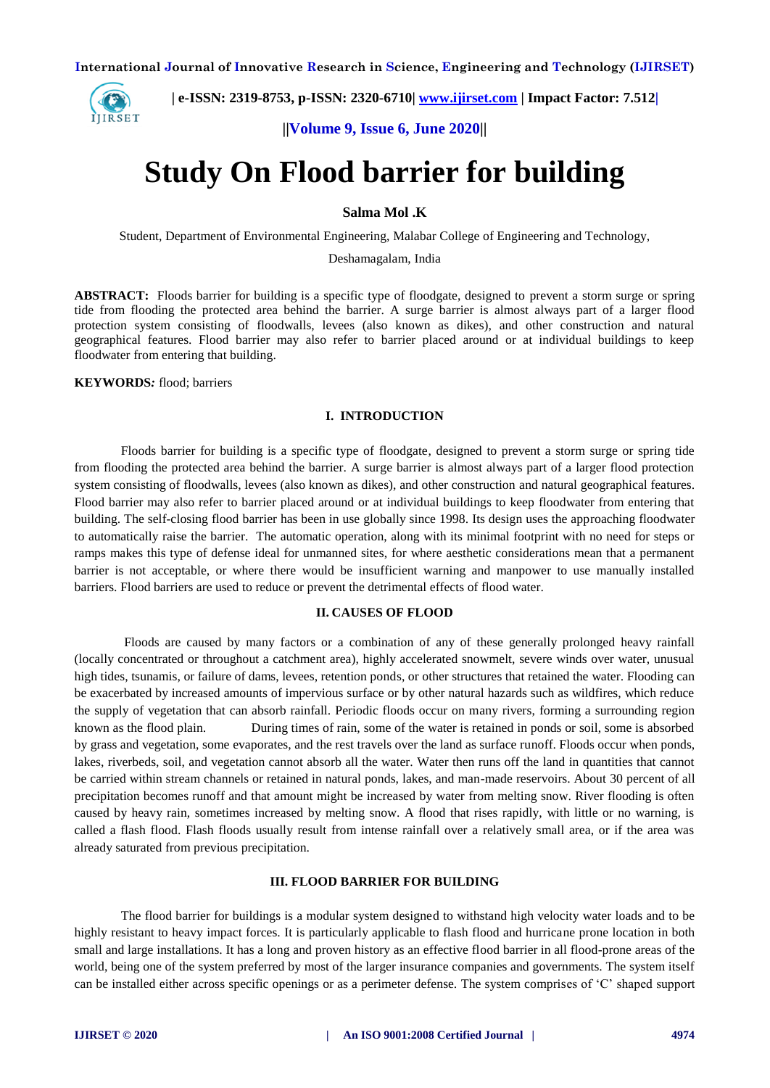

 **| e-ISSN: 2319-8753, p-ISSN: 2320-6710| [www.ijirset.com](http://www.ijirset.com/) | Impact Factor: 7.512|**

**||Volume 9, Issue 6, June 2020||** 

# **Study On Flood barrier for building**

# **Salma Mol .K**

Student, Department of Environmental Engineering, Malabar College of Engineering and Technology,

Deshamagalam, India

**ABSTRACT:** Floods barrier for building is a specific type of floodgate, designed to prevent a storm surge or spring tide from flooding the protected area behind the barrier. A surge barrier is almost always part of a larger flood protection system consisting of floodwalls, levees (also known as dikes), and other construction and natural geographical features. Flood barrier may also refer to barrier placed around or at individual buildings to keep floodwater from entering that building.

#### **KEYWORDS***:* flood; barriers

#### **I. INTRODUCTION**

Floods barrier for building is a specific type of floodgate, designed to prevent a storm surge or spring tide from flooding the protected area behind the barrier. A surge barrier is almost always part of a larger flood protection system consisting of floodwalls, levees (also known as dikes), and other construction and natural geographical features. Flood barrier may also refer to barrier placed around or at individual buildings to keep floodwater from entering that building. The self-closing flood barrier has been in use globally since 1998. Its design uses the approaching floodwater to automatically raise the barrier. The automatic operation, along with its minimal footprint with no need for steps or ramps makes this type of defense ideal for unmanned sites, for where aesthetic considerations mean that a permanent barrier is not acceptable, or where there would be insufficient warning and manpower to use manually installed barriers. Flood barriers are used to reduce or prevent the detrimental effects of flood water.

#### **II. CAUSES OF FLOOD**

Floods are caused by many factors or a combination of any of these generally prolonged heavy rainfall (locally concentrated or throughout a catchment area), highly accelerated snowmelt, severe winds over water, unusual high tides, tsunamis, or failure of dams, levees, retention ponds, or other structures that retained the water. Flooding can be exacerbated by increased amounts of impervious surface or by other natural hazards such as wildfires, which reduce the supply of vegetation that can absorb rainfall. Periodic floods occur on many rivers, forming a surrounding region known as the flood plain. During times of rain, some of the water is retained in ponds or soil, some is absorbed by grass and vegetation, some evaporates, and the rest travels over the land as surface runoff. Floods occur when ponds, lakes, riverbeds, soil, and vegetation cannot absorb all the water. Water then runs off the land in quantities that cannot be carried within stream channels or retained in natural ponds, lakes, and man-made reservoirs. About 30 percent of all precipitation becomes runoff and that amount might be increased by water from melting snow. River flooding is often caused by heavy rain, sometimes increased by melting snow. A flood that rises rapidly, with little or no warning, is called a flash flood. Flash floods usually result from intense rainfall over a relatively small area, or if the area was already saturated from previous precipitation.

## **III. FLOOD BARRIER FOR BUILDING**

The flood barrier for buildings is a modular system designed to withstand high velocity water loads and to be highly resistant to heavy impact forces. It is particularly applicable to flash flood and hurricane prone location in both small and large installations. It has a long and proven history as an effective flood barrier in all flood-prone areas of the world, being one of the system preferred by most of the larger insurance companies and governments. The system itself can be installed either across specific openings or as a perimeter defense. The system comprises of 'C' shaped support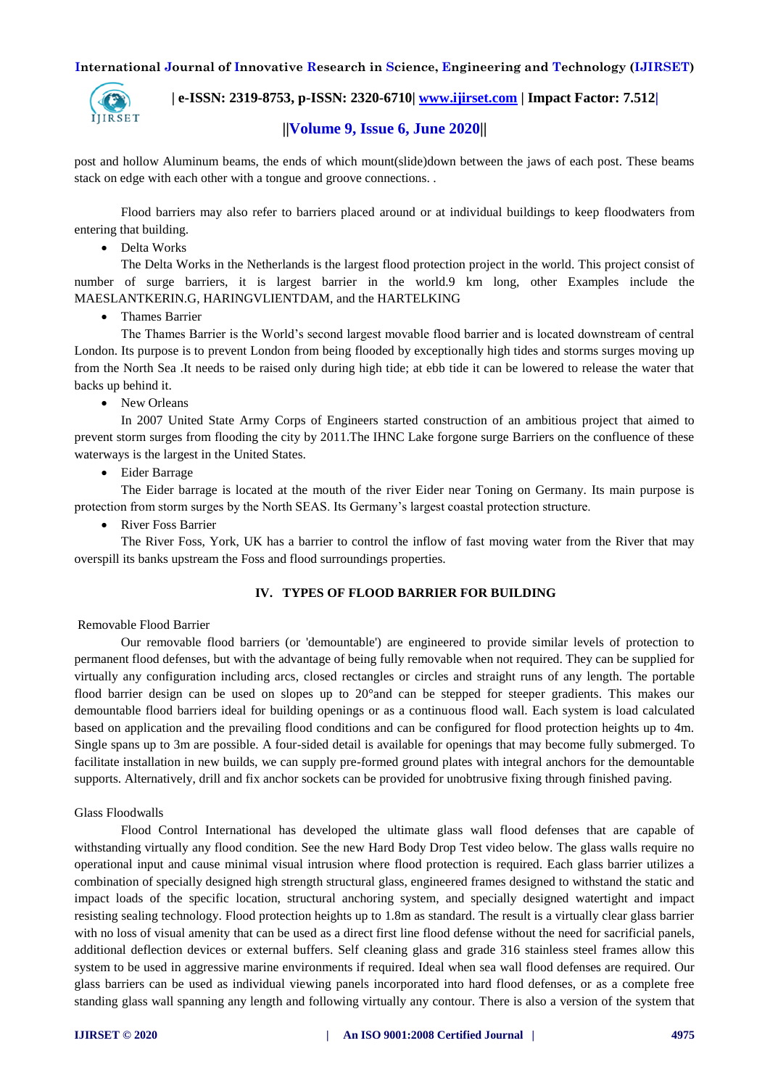

 **| e-ISSN: 2319-8753, p-ISSN: 2320-6710| [www.ijirset.com](http://www.ijirset.com/) | Impact Factor: 7.512|**

# **||Volume 9, Issue 6, June 2020||**

post and hollow Aluminum beams, the ends of which mount(slide)down between the jaws of each post. These beams stack on edge with each other with a tongue and groove connections. .

Flood barriers may also refer to barriers placed around or at individual buildings to keep floodwaters from entering that building.

Delta Works

The Delta Works in the Netherlands is the largest flood protection project in the world. This project consist of number of surge barriers, it is largest barrier in the world.9 km long, other Examples include the MAESLANTKERIN.G, HARINGVLIENTDAM, and the HARTELKING

Thames Barrier

The Thames Barrier is the World's second largest movable flood barrier and is located downstream of central London. Its purpose is to prevent London from being flooded by exceptionally high tides and storms surges moving up from the North Sea .It needs to be raised only during high tide; at ebb tide it can be lowered to release the water that backs up behind it.

New Orleans

In 2007 United State Army Corps of Engineers started construction of an ambitious project that aimed to prevent storm surges from flooding the city by 2011.The IHNC Lake forgone surge Barriers on the confluence of these waterways is the largest in the United States.

Eider Barrage

The Eider barrage is located at the mouth of the river Eider near Toning on Germany. Its main purpose is protection from storm surges by the North SEAS. Its Germany's largest coastal protection structure.

• River Foss Barrier

The River Foss, York, UK has a barrier to control the inflow of fast moving water from the River that may overspill its banks upstream the Foss and flood surroundings properties.

## **IV. TYPES OF FLOOD BARRIER FOR BUILDING**

#### Removable Flood Barrier

Our removable flood barriers (or 'demountable') are engineered to provide similar levels of protection to permanent flood defenses, but with the advantage of being fully removable when not required. They can be supplied for virtually any configuration including arcs, closed rectangles or circles and straight runs of any length. The portable flood barrier design can be used on slopes up to 20°and can be stepped for steeper gradients. This makes our demountable flood barriers ideal for building openings or as a continuous flood wall. Each system is load calculated based on application and the prevailing flood conditions and can be configured for flood protection heights up to 4m. Single spans up to 3m are possible. A four-sided detail is available for openings that may become fully submerged. To facilitate installation in new builds, we can supply pre-formed ground plates with integral anchors for the demountable supports. Alternatively, drill and fix anchor sockets can be provided for unobtrusive fixing through finished paving.

Glass Floodwalls

Flood Control International has developed the ultimate glass wall flood defenses that are capable of withstanding virtually any flood condition. See the new Hard Body Drop Test video below. The glass walls require no operational input and cause minimal visual intrusion where flood protection is required. Each glass barrier utilizes a combination of specially designed high strength structural glass, engineered frames designed to withstand the static and impact loads of the specific location, structural anchoring system, and specially designed watertight and impact resisting sealing technology. Flood protection heights up to 1.8m as standard. The result is a virtually clear glass barrier with no loss of visual amenity that can be used as a direct first line flood defense without the need for sacrificial panels, additional deflection devices or external buffers. Self cleaning glass and grade 316 stainless steel frames allow this system to be used in aggressive marine environments if required. Ideal when sea wall flood defenses are required. Our glass barriers can be used as individual viewing panels incorporated into hard flood defenses, or as a complete free standing glass wall spanning any length and following virtually any contour. There is also a version of the system that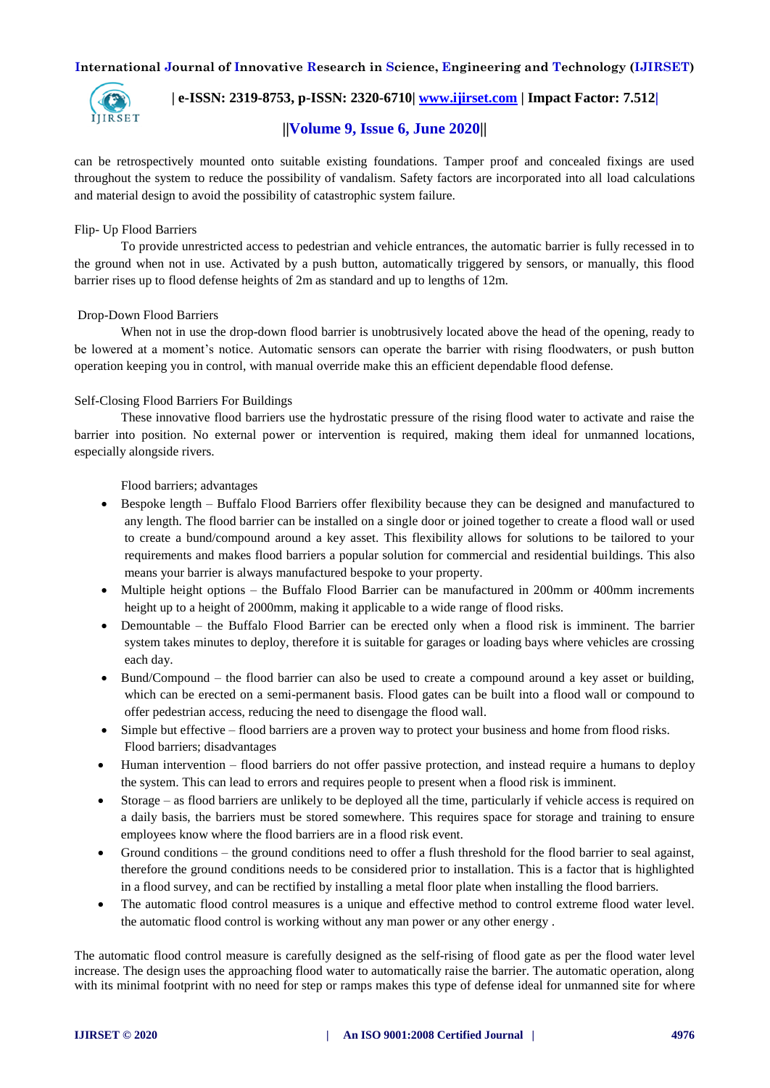

 **| e-ISSN: 2319-8753, p-ISSN: 2320-6710| [www.ijirset.com](http://www.ijirset.com/) | Impact Factor: 7.512|**

# **||Volume 9, Issue 6, June 2020||**

can be retrospectively mounted onto suitable existing foundations. Tamper proof and concealed fixings are used throughout the system to reduce the possibility of vandalism. Safety factors are incorporated into all load calculations and material design to avoid the possibility of catastrophic system failure.

## Flip- Up Flood Barriers

To provide unrestricted access to pedestrian and vehicle entrances, the automatic barrier is fully recessed in to the ground when not in use. Activated by a push button, automatically triggered by sensors, or manually, this flood barrier rises up to flood defense heights of 2m as standard and up to lengths of 12m.

## Drop-Down Flood Barriers

When not in use the drop-down flood barrier is unobtrusively located above the head of the opening, ready to be lowered at a moment's notice. Automatic sensors can operate the barrier with rising floodwaters, or push button operation keeping you in control, with manual override make this an efficient dependable flood defense.

## Self-Closing Flood Barriers For Buildings

These innovative flood barriers use the hydrostatic pressure of the rising flood water to activate and raise the barrier into position. No external power or intervention is required, making them ideal for unmanned locations, especially alongside rivers.

Flood barriers; advantages

- Bespoke length Buffalo Flood Barriers offer flexibility because they can be designed and manufactured to any length. The flood barrier can be installed on a single door or joined together to create a flood wall or used to create a bund/compound around a key asset. This flexibility allows for solutions to be tailored to your requirements and makes flood barriers a popular solution for commercial and residential buildings. This also means your barrier is always manufactured bespoke to your property.
- Multiple height options the Buffalo Flood Barrier can be manufactured in 200mm or 400mm increments height up to a height of 2000mm, making it applicable to a wide range of flood risks.
- Demountable the Buffalo Flood Barrier can be erected only when a flood risk is imminent. The barrier system takes minutes to deploy, therefore it is suitable for garages or loading bays where vehicles are crossing each day.
- Bund/Compound the flood barrier can also be used to create a compound around a key asset or building, which can be erected on a semi-permanent basis. Flood gates can be built into a flood wall or compound to offer pedestrian access, reducing the need to disengage the flood wall.
- Simple but effective flood barriers are a proven way to protect your business and home from flood risks. Flood barriers; disadvantages
- Human intervention flood barriers do not offer passive protection, and instead require a humans to deploy the system. This can lead to errors and requires people to present when a flood risk is imminent.
- Storage as flood barriers are unlikely to be deployed all the time, particularly if vehicle access is required on a daily basis, the barriers must be stored somewhere. This requires space for storage and training to ensure employees know where the flood barriers are in a flood risk event.
- Ground conditions the ground conditions need to offer a flush threshold for the flood barrier to seal against, therefore the ground conditions needs to be considered prior to installation. This is a factor that is highlighted in a flood survey, and can be rectified by installing a metal floor plate when installing the flood barriers.
- The automatic flood control measures is a unique and effective method to control extreme flood water level. the automatic flood control is working without any man power or any other energy .

The automatic flood control measure is carefully designed as the self-rising of flood gate as per the flood water level increase. The design uses the approaching flood water to automatically raise the barrier. The automatic operation, along with its minimal footprint with no need for step or ramps makes this type of defense ideal for unmanned site for where